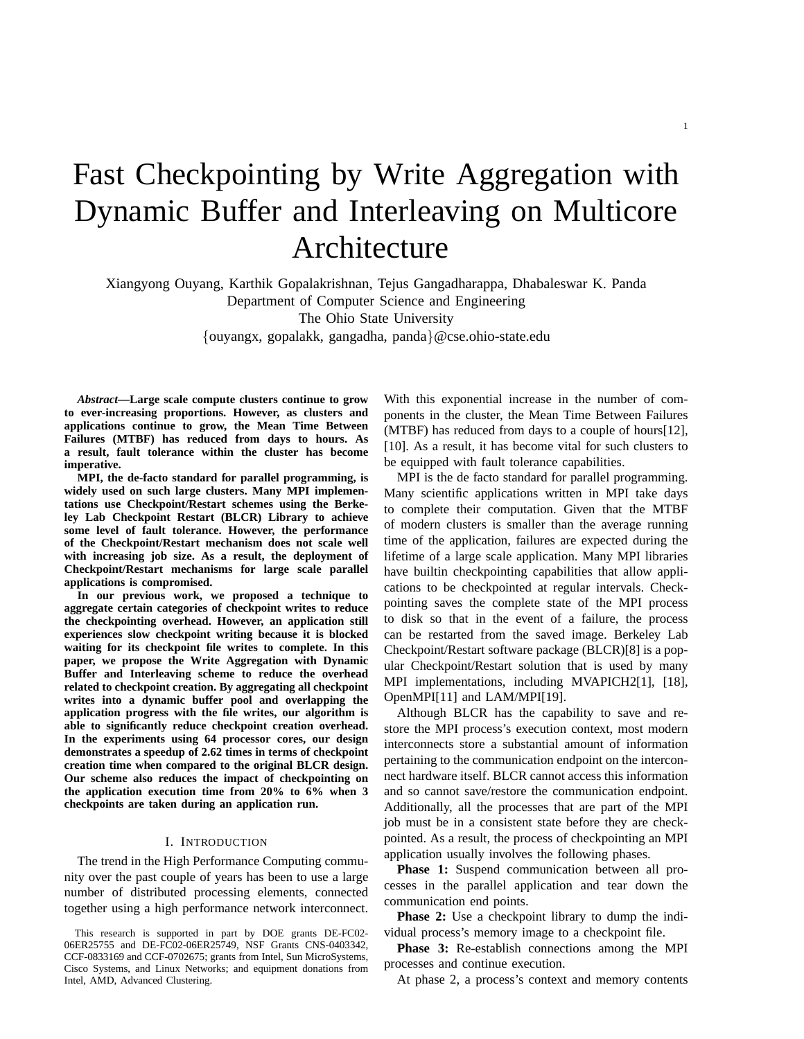# Fast Checkpointing by Write Aggregation with Dynamic Buffer and Interleaving on Multicore Architecture

Xiangyong Ouyang, Karthik Gopalakrishnan, Tejus Gangadharappa, Dhabaleswar K. Panda Department of Computer Science and Engineering

The Ohio State University

{ouyangx, gopalakk, gangadha, panda}@cse.ohio-state.edu

*Abstract***—Large scale compute clusters continue to grow to ever-increasing proportions. However, as clusters and applications continue to grow, the Mean Time Between Failures (MTBF) has reduced from days to hours. As a result, fault tolerance within the cluster has become imperative.**

**MPI, the de-facto standard for parallel programming, is widely used on such large clusters. Many MPI implementations use Checkpoint/Restart schemes using the Berkeley Lab Checkpoint Restart (BLCR) Library to achieve some level of fault tolerance. However, the performance of the Checkpoint/Restart mechanism does not scale well with increasing job size. As a result, the deployment of Checkpoint/Restart mechanisms for large scale parallel applications is compromised.**

**In our previous work, we proposed a technique to aggregate certain categories of checkpoint writes to reduce the checkpointing overhead. However, an application still experiences slow checkpoint writing because it is blocked waiting for its checkpoint file writes to complete. In this paper, we propose the Write Aggregation with Dynamic Buffer and Interleaving scheme to reduce the overhead related to checkpoint creation. By aggregating all checkpoint writes into a dynamic buffer pool and overlapping the application progress with the file writes, our algorithm is able to significantly reduce checkpoint creation overhead. In the experiments using 64 processor cores, our design demonstrates a speedup of 2.62 times in terms of checkpoint creation time when compared to the original BLCR design. Our scheme also reduces the impact of checkpointing on the application execution time from 20% to 6% when 3 checkpoints are taken during an application run.**

# I. INTRODUCTION

The trend in the High Performance Computing community over the past couple of years has been to use a large number of distributed processing elements, connected together using a high performance network interconnect.

With this exponential increase in the number of components in the cluster, the Mean Time Between Failures (MTBF) has reduced from days to a couple of hours[12], [10]. As a result, it has become vital for such clusters to be equipped with fault tolerance capabilities.

MPI is the de facto standard for parallel programming. Many scientific applications written in MPI take days to complete their computation. Given that the MTBF of modern clusters is smaller than the average running time of the application, failures are expected during the lifetime of a large scale application. Many MPI libraries have builtin checkpointing capabilities that allow applications to be checkpointed at regular intervals. Checkpointing saves the complete state of the MPI process to disk so that in the event of a failure, the process can be restarted from the saved image. Berkeley Lab Checkpoint/Restart software package (BLCR)[8] is a popular Checkpoint/Restart solution that is used by many MPI implementations, including MVAPICH2[1], [18], OpenMPI[11] and LAM/MPI[19].

Although BLCR has the capability to save and restore the MPI process's execution context, most modern interconnects store a substantial amount of information pertaining to the communication endpoint on the interconnect hardware itself. BLCR cannot access this information and so cannot save/restore the communication endpoint. Additionally, all the processes that are part of the MPI job must be in a consistent state before they are checkpointed. As a result, the process of checkpointing an MPI application usually involves the following phases.

**Phase 1:** Suspend communication between all processes in the parallel application and tear down the communication end points.

**Phase 2:** Use a checkpoint library to dump the individual process's memory image to a checkpoint file.

**Phase 3:** Re-establish connections among the MPI processes and continue execution.

At phase 2, a process's context and memory contents

This research is supported in part by DOE grants DE-FC02- 06ER25755 and DE-FC02-06ER25749, NSF Grants CNS-0403342, CCF-0833169 and CCF-0702675; grants from Intel, Sun MicroSystems, Cisco Systems, and Linux Networks; and equipment donations from Intel, AMD, Advanced Clustering.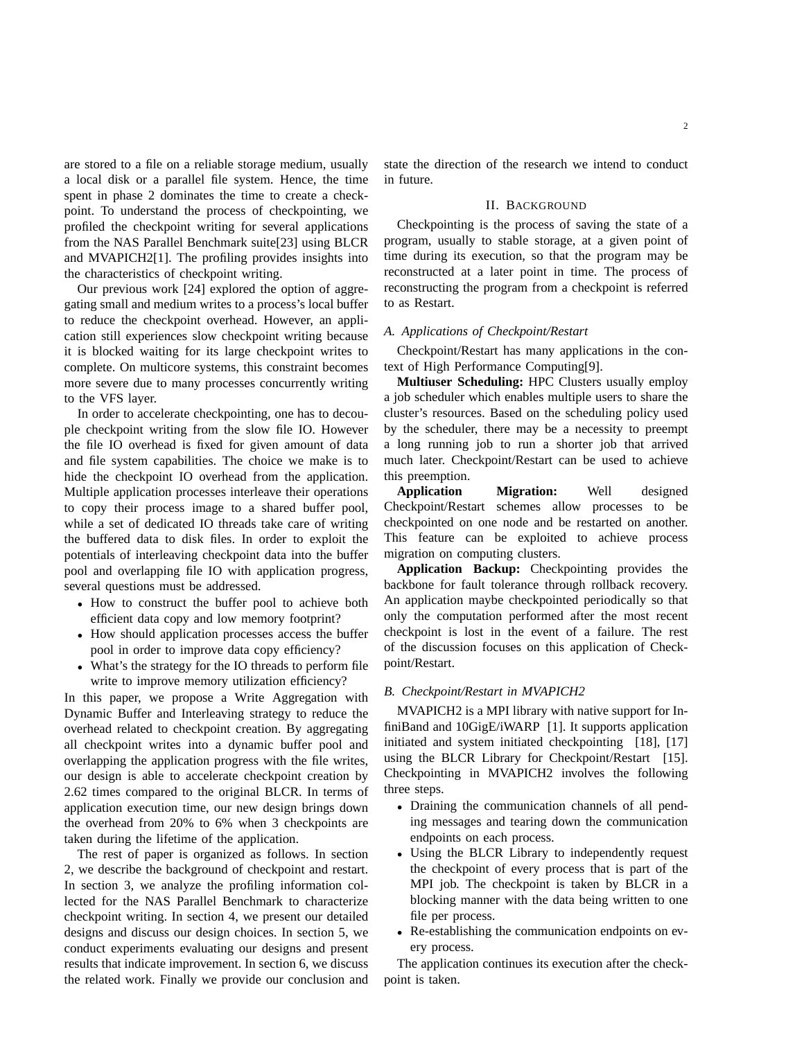are stored to a file on a reliable storage medium, usually a local disk or a parallel file system. Hence, the time spent in phase 2 dominates the time to create a checkpoint. To understand the process of checkpointing, we profiled the checkpoint writing for several applications from the NAS Parallel Benchmark suite[23] using BLCR and MVAPICH2[1]. The profiling provides insights into the characteristics of checkpoint writing.

Our previous work [24] explored the option of aggregating small and medium writes to a process's local buffer to reduce the checkpoint overhead. However, an application still experiences slow checkpoint writing because it is blocked waiting for its large checkpoint writes to complete. On multicore systems, this constraint becomes more severe due to many processes concurrently writing to the VFS layer.

In order to accelerate checkpointing, one has to decouple checkpoint writing from the slow file IO. However the file IO overhead is fixed for given amount of data and file system capabilities. The choice we make is to hide the checkpoint IO overhead from the application. Multiple application processes interleave their operations to copy their process image to a shared buffer pool, while a set of dedicated IO threads take care of writing the buffered data to disk files. In order to exploit the potentials of interleaving checkpoint data into the buffer pool and overlapping file IO with application progress, several questions must be addressed.

- How to construct the buffer pool to achieve both efficient data copy and low memory footprint?
- How should application processes access the buffer pool in order to improve data copy efficiency?
- What's the strategy for the IO threads to perform file write to improve memory utilization efficiency?

In this paper, we propose a Write Aggregation with Dynamic Buffer and Interleaving strategy to reduce the overhead related to checkpoint creation. By aggregating all checkpoint writes into a dynamic buffer pool and overlapping the application progress with the file writes, our design is able to accelerate checkpoint creation by 2.62 times compared to the original BLCR. In terms of application execution time, our new design brings down the overhead from 20% to 6% when 3 checkpoints are taken during the lifetime of the application.

The rest of paper is organized as follows. In section 2, we describe the background of checkpoint and restart. In section 3, we analyze the profiling information collected for the NAS Parallel Benchmark to characterize checkpoint writing. In section 4, we present our detailed designs and discuss our design choices. In section 5, we conduct experiments evaluating our designs and present results that indicate improvement. In section 6, we discuss the related work. Finally we provide our conclusion and

state the direction of the research we intend to conduct in future.

# II. BACKGROUND

Checkpointing is the process of saving the state of a program, usually to stable storage, at a given point of time during its execution, so that the program may be reconstructed at a later point in time. The process of reconstructing the program from a checkpoint is referred to as Restart.

# *A. Applications of Checkpoint/Restart*

Checkpoint/Restart has many applications in the context of High Performance Computing[9].

**Multiuser Scheduling:** HPC Clusters usually employ a job scheduler which enables multiple users to share the cluster's resources. Based on the scheduling policy used by the scheduler, there may be a necessity to preempt a long running job to run a shorter job that arrived much later. Checkpoint/Restart can be used to achieve this preemption.

**Application Migration:** Well designed Checkpoint/Restart schemes allow processes to be checkpointed on one node and be restarted on another. This feature can be exploited to achieve process migration on computing clusters.

**Application Backup:** Checkpointing provides the backbone for fault tolerance through rollback recovery. An application maybe checkpointed periodically so that only the computation performed after the most recent checkpoint is lost in the event of a failure. The rest of the discussion focuses on this application of Checkpoint/Restart.

## *B. Checkpoint/Restart in MVAPICH2*

MVAPICH2 is a MPI library with native support for InfiniBand and 10GigE/iWARP [1]. It supports application initiated and system initiated checkpointing [18], [17] using the BLCR Library for Checkpoint/Restart [15]. Checkpointing in MVAPICH2 involves the following three steps.

- Draining the communication channels of all pending messages and tearing down the communication endpoints on each process.
- Using the BLCR Library to independently request the checkpoint of every process that is part of the MPI job. The checkpoint is taken by BLCR in a blocking manner with the data being written to one file per process.
- Re-establishing the communication endpoints on every process.

The application continues its execution after the checkpoint is taken.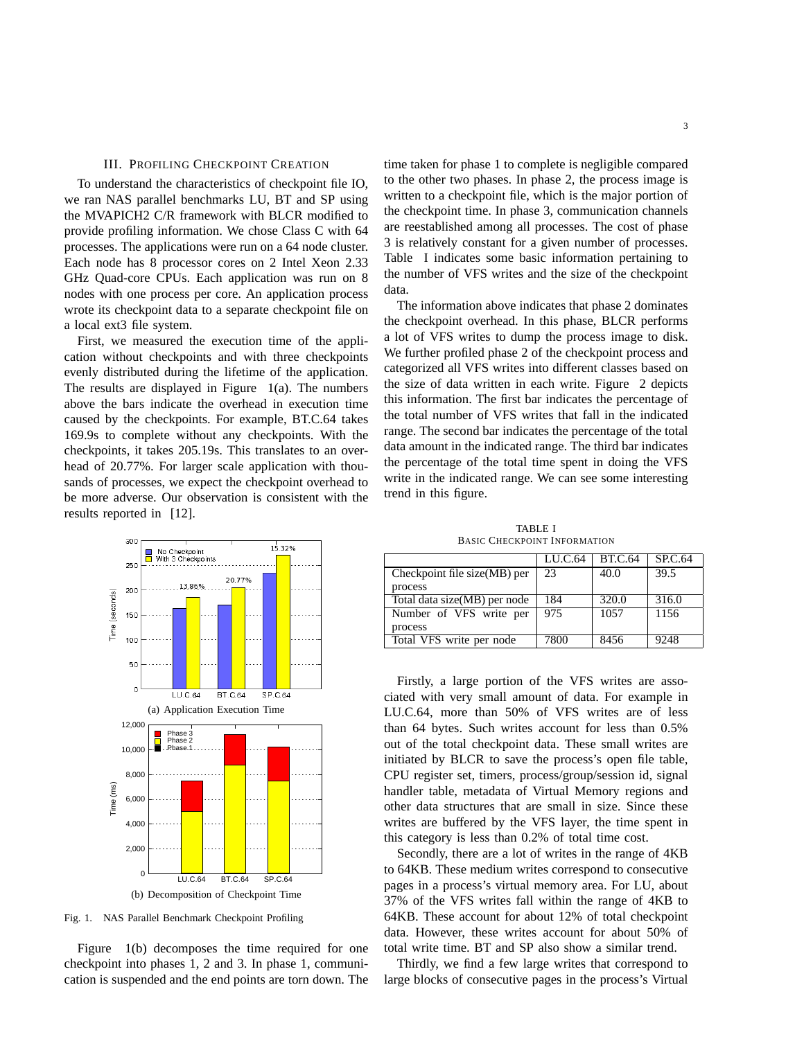#### III. PROFILING CHECKPOINT CREATION

To understand the characteristics of checkpoint file IO, we ran NAS parallel benchmarks LU, BT and SP using the MVAPICH2 C/R framework with BLCR modified to provide profiling information. We chose Class C with 64 processes. The applications were run on a 64 node cluster. Each node has 8 processor cores on 2 Intel Xeon 2.33 GHz Quad-core CPUs. Each application was run on 8 nodes with one process per core. An application process wrote its checkpoint data to a separate checkpoint file on a local ext3 file system.

First, we measured the execution time of the application without checkpoints and with three checkpoints evenly distributed during the lifetime of the application. The results are displayed in Figure 1(a). The numbers above the bars indicate the overhead in execution time caused by the checkpoints. For example, BT.C.64 takes 169.9s to complete without any checkpoints. With the checkpoints, it takes 205.19s. This translates to an overhead of 20.77%. For larger scale application with thousands of processes, we expect the checkpoint overhead to be more adverse. Our observation is consistent with the results reported in [12].

time taken for phase 1 to complete is negligible compared to the other two phases. In phase 2, the process image is written to a checkpoint file, which is the major portion of the checkpoint time. In phase 3, communication channels are reestablished among all processes. The cost of phase 3 is relatively constant for a given number of processes. Table I indicates some basic information pertaining to the number of VFS writes and the size of the checkpoint data.

The information above indicates that phase 2 dominates the checkpoint overhead. In this phase, BLCR performs a lot of VFS writes to dump the process image to disk. We further profiled phase 2 of the checkpoint process and categorized all VFS writes into different classes based on the size of data written in each write. Figure 2 depicts this information. The first bar indicates the percentage of the total number of VFS writes that fall in the indicated range. The second bar indicates the percentage of the total data amount in the indicated range. The third bar indicates the percentage of the total time spent in doing the VFS write in the indicated range. We can see some interesting trend in this figure.



Fig. 1. NAS Parallel Benchmark Checkpoint Profiling

Figure 1(b) decomposes the time required for one checkpoint into phases 1, 2 and 3. In phase 1, communication is suspended and the end points are torn down. The

TABLE I BASIC CHECKPOINT INFORMATION

|                              | LU.C.64 | <b>BT.C.64</b> | <b>SP.C.64</b> |
|------------------------------|---------|----------------|----------------|
| Checkpoint file size(MB) per | 23      | 40.0           | 39.5           |
| process                      |         |                |                |
| Total data size(MB) per node | 184     | 320.0          | 316.0          |
| Number of VFS write per      | 975     | 1057           | 1156           |
| process                      |         |                |                |
| Total VFS write per node     | 7800    | 8456           | 92.48          |

Firstly, a large portion of the VFS writes are associated with very small amount of data. For example in LU.C.64, more than 50% of VFS writes are of less than 64 bytes. Such writes account for less than 0.5% out of the total checkpoint data. These small writes are initiated by BLCR to save the process's open file table, CPU register set, timers, process/group/session id, signal handler table, metadata of Virtual Memory regions and other data structures that are small in size. Since these writes are buffered by the VFS layer, the time spent in this category is less than 0.2% of total time cost.

Secondly, there are a lot of writes in the range of 4KB to 64KB. These medium writes correspond to consecutive pages in a process's virtual memory area. For LU, about 37% of the VFS writes fall within the range of 4KB to 64KB. These account for about 12% of total checkpoint data. However, these writes account for about 50% of total write time. BT and SP also show a similar trend.

Thirdly, we find a few large writes that correspond to large blocks of consecutive pages in the process's Virtual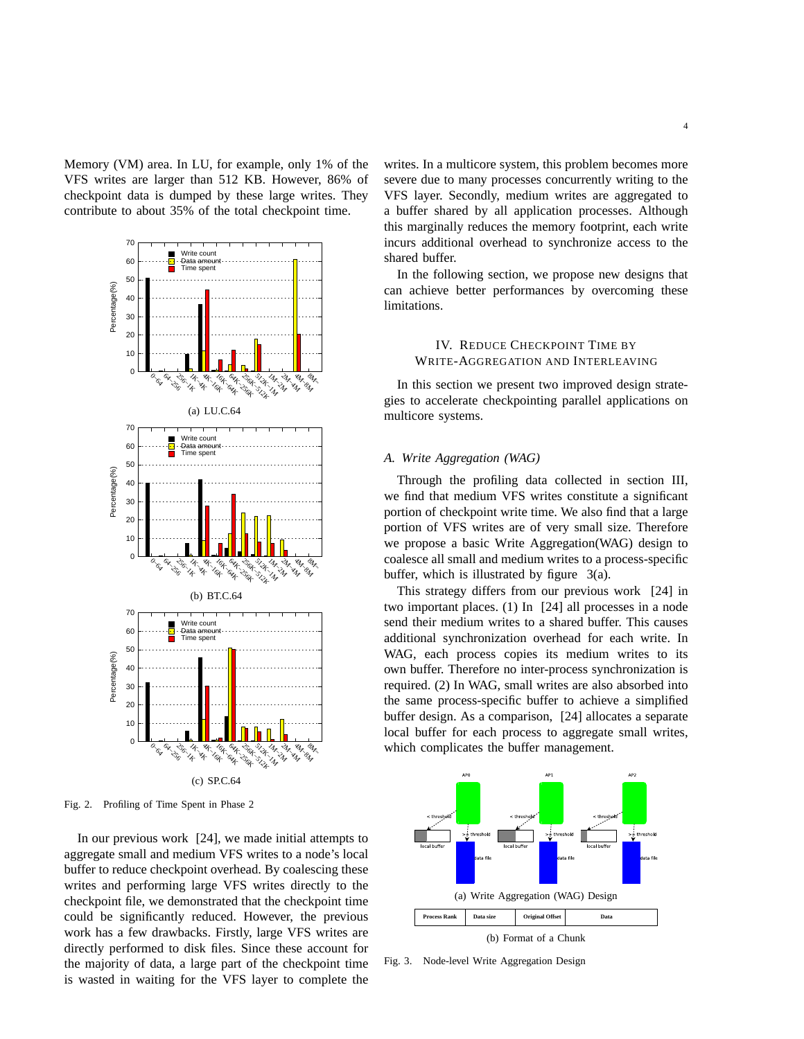Memory (VM) area. In LU, for example, only 1% of the VFS writes are larger than 512 KB. However, 86% of checkpoint data is dumped by these large writes. They contribute to about 35% of the total checkpoint time.



Fig. 2. Profiling of Time Spent in Phase 2

In our previous work [24], we made initial attempts to aggregate small and medium VFS writes to a node's local buffer to reduce checkpoint overhead. By coalescing these writes and performing large VFS writes directly to the checkpoint file, we demonstrated that the checkpoint time could be significantly reduced. However, the previous work has a few drawbacks. Firstly, large VFS writes are directly performed to disk files. Since these account for the majority of data, a large part of the checkpoint time is wasted in waiting for the VFS layer to complete the

writes. In a multicore system, this problem becomes more severe due to many processes concurrently writing to the VFS layer. Secondly, medium writes are aggregated to a buffer shared by all application processes. Although this marginally reduces the memory footprint, each write incurs additional overhead to synchronize access to the shared buffer.

In the following section, we propose new designs that can achieve better performances by overcoming these limitations.

# IV. REDUCE CHECKPOINT TIME BY WRITE-AGGREGATION AND INTERLEAVING

In this section we present two improved design strategies to accelerate checkpointing parallel applications on multicore systems.

#### *A. Write Aggregation (WAG)*

Through the profiling data collected in section III, we find that medium VFS writes constitute a significant portion of checkpoint write time. We also find that a large portion of VFS writes are of very small size. Therefore we propose a basic Write Aggregation(WAG) design to coalesce all small and medium writes to a process-specific buffer, which is illustrated by figure 3(a).

This strategy differs from our previous work [24] in two important places. (1) In [24] all processes in a node send their medium writes to a shared buffer. This causes additional synchronization overhead for each write. In WAG, each process copies its medium writes to its own buffer. Therefore no inter-process synchronization is required. (2) In WAG, small writes are also absorbed into the same process-specific buffer to achieve a simplified buffer design. As a comparison, [24] allocates a separate local buffer for each process to aggregate small writes, which complicates the buffer management.



Fig. 3. Node-level Write Aggregation Design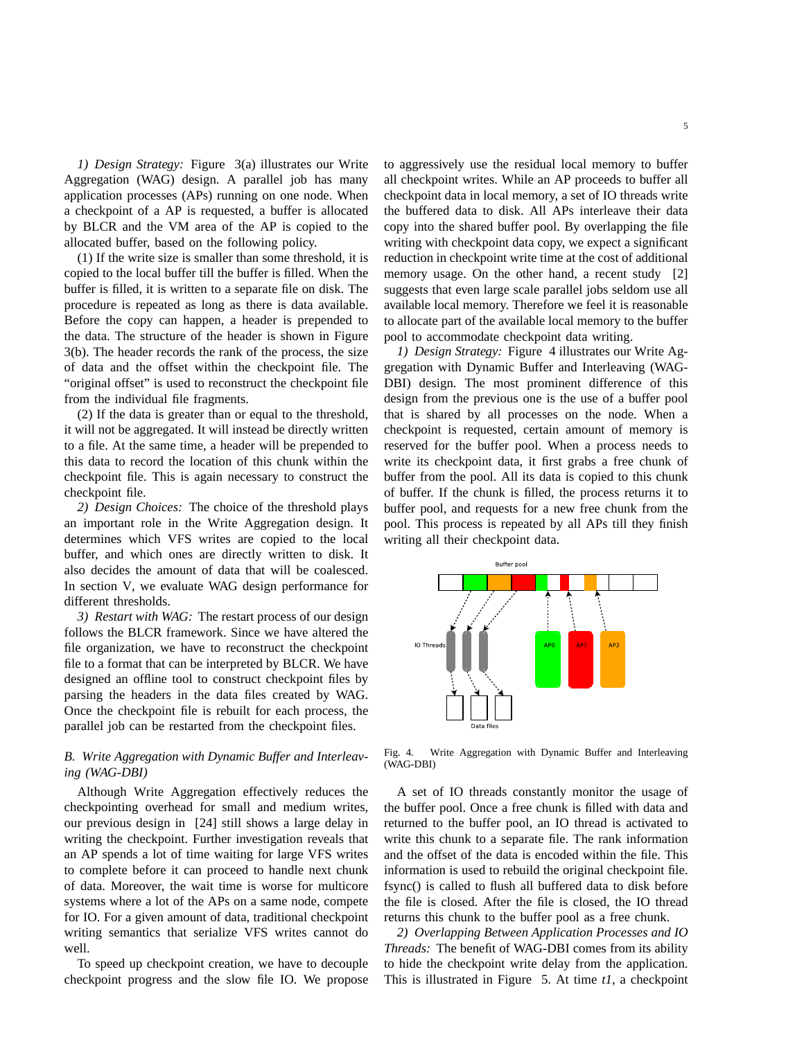*1) Design Strategy:* Figure 3(a) illustrates our Write Aggregation (WAG) design. A parallel job has many application processes (APs) running on one node. When a checkpoint of a AP is requested, a buffer is allocated by BLCR and the VM area of the AP is copied to the allocated buffer, based on the following policy.

(1) If the write size is smaller than some threshold, it is copied to the local buffer till the buffer is filled. When the buffer is filled, it is written to a separate file on disk. The procedure is repeated as long as there is data available. Before the copy can happen, a header is prepended to the data. The structure of the header is shown in Figure 3(b). The header records the rank of the process, the size of data and the offset within the checkpoint file. The "original offset" is used to reconstruct the checkpoint file from the individual file fragments.

(2) If the data is greater than or equal to the threshold, it will not be aggregated. It will instead be directly written to a file. At the same time, a header will be prepended to this data to record the location of this chunk within the checkpoint file. This is again necessary to construct the checkpoint file.

*2) Design Choices:* The choice of the threshold plays an important role in the Write Aggregation design. It determines which VFS writes are copied to the local buffer, and which ones are directly written to disk. It also decides the amount of data that will be coalesced. In section V, we evaluate WAG design performance for different thresholds.

*3) Restart with WAG:* The restart process of our design follows the BLCR framework. Since we have altered the file organization, we have to reconstruct the checkpoint file to a format that can be interpreted by BLCR. We have designed an offline tool to construct checkpoint files by parsing the headers in the data files created by WAG. Once the checkpoint file is rebuilt for each process, the parallel job can be restarted from the checkpoint files.

# *B. Write Aggregation with Dynamic Buffer and Interleaving (WAG-DBI)*

Although Write Aggregation effectively reduces the checkpointing overhead for small and medium writes, our previous design in [24] still shows a large delay in writing the checkpoint. Further investigation reveals that an AP spends a lot of time waiting for large VFS writes to complete before it can proceed to handle next chunk of data. Moreover, the wait time is worse for multicore systems where a lot of the APs on a same node, compete for IO. For a given amount of data, traditional checkpoint writing semantics that serialize VFS writes cannot do well.

To speed up checkpoint creation, we have to decouple checkpoint progress and the slow file IO. We propose

to aggressively use the residual local memory to buffer all checkpoint writes. While an AP proceeds to buffer all checkpoint data in local memory, a set of IO threads write the buffered data to disk. All APs interleave their data copy into the shared buffer pool. By overlapping the file writing with checkpoint data copy, we expect a significant reduction in checkpoint write time at the cost of additional memory usage. On the other hand, a recent study [2] suggests that even large scale parallel jobs seldom use all available local memory. Therefore we feel it is reasonable to allocate part of the available local memory to the buffer pool to accommodate checkpoint data writing.

*1) Design Strategy:* Figure 4 illustrates our Write Aggregation with Dynamic Buffer and Interleaving (WAG-DBI) design. The most prominent difference of this design from the previous one is the use of a buffer pool that is shared by all processes on the node. When a checkpoint is requested, certain amount of memory is reserved for the buffer pool. When a process needs to write its checkpoint data, it first grabs a free chunk of buffer from the pool. All its data is copied to this chunk of buffer. If the chunk is filled, the process returns it to buffer pool, and requests for a new free chunk from the pool. This process is repeated by all APs till they finish writing all their checkpoint data.



Fig. 4. Write Aggregation with Dynamic Buffer and Interleaving (WAG-DBI)

A set of IO threads constantly monitor the usage of the buffer pool. Once a free chunk is filled with data and returned to the buffer pool, an IO thread is activated to write this chunk to a separate file. The rank information and the offset of the data is encoded within the file. This information is used to rebuild the original checkpoint file. fsync() is called to flush all buffered data to disk before the file is closed. After the file is closed, the IO thread returns this chunk to the buffer pool as a free chunk.

*2) Overlapping Between Application Processes and IO Threads:* The benefit of WAG-DBI comes from its ability to hide the checkpoint write delay from the application. This is illustrated in Figure 5. At time *t1*, a checkpoint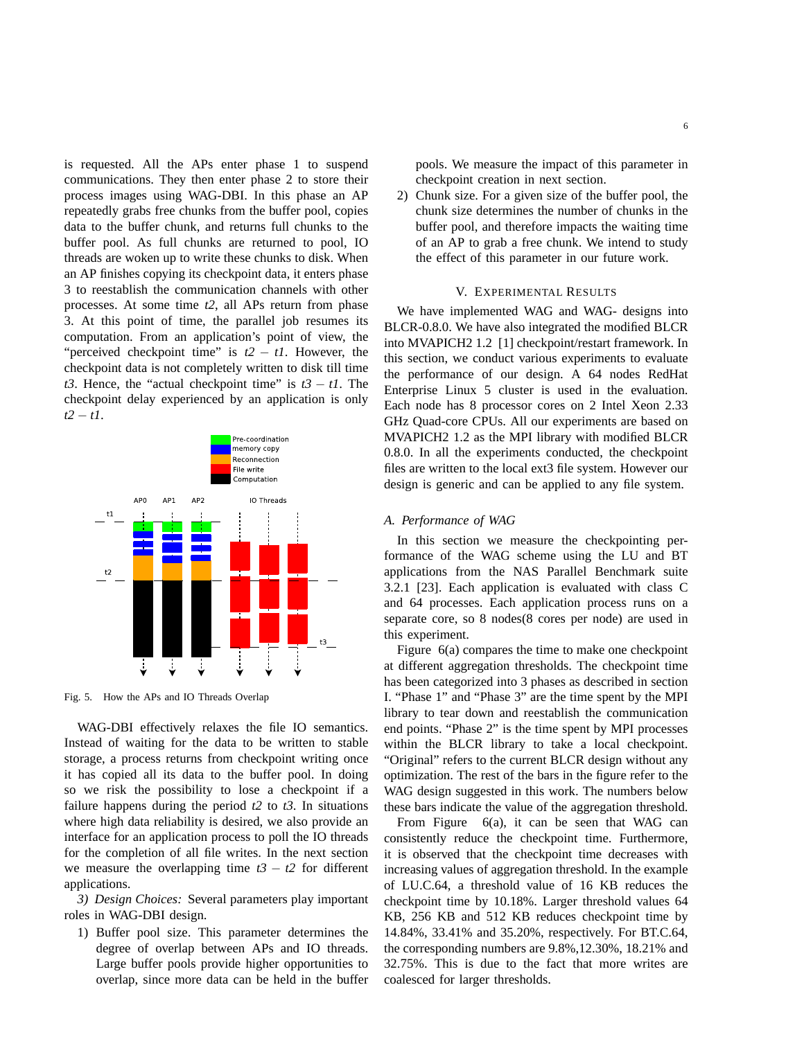is requested. All the APs enter phase 1 to suspend communications. They then enter phase 2 to store their process images using WAG-DBI. In this phase an AP repeatedly grabs free chunks from the buffer pool, copies data to the buffer chunk, and returns full chunks to the buffer pool. As full chunks are returned to pool, IO threads are woken up to write these chunks to disk. When an AP finishes copying its checkpoint data, it enters phase 3 to reestablish the communication channels with other processes. At some time *t2*, all APs return from phase 3. At this point of time, the parallel job resumes its computation. From an application's point of view, the "perceived checkpoint time" is  $t2 - t1$ . However, the checkpoint data is not completely written to disk till time *t3*. Hence, the "actual checkpoint time" is  $t3 - t1$ . The checkpoint delay experienced by an application is only  $t2 - t1$ .



Fig. 5. How the APs and IO Threads Overlap

WAG-DBI effectively relaxes the file IO semantics. Instead of waiting for the data to be written to stable storage, a process returns from checkpoint writing once it has copied all its data to the buffer pool. In doing so we risk the possibility to lose a checkpoint if a failure happens during the period  $t^2$  to  $t^3$ . In situations where high data reliability is desired, we also provide an interface for an application process to poll the IO threads for the completion of all file writes. In the next section we measure the overlapping time  $t3 - t2$  for different applications.

*3) Design Choices:* Several parameters play important roles in WAG-DBI design.

1) Buffer pool size. This parameter determines the degree of overlap between APs and IO threads. Large buffer pools provide higher opportunities to overlap, since more data can be held in the buffer pools. We measure the impact of this parameter in checkpoint creation in next section.

2) Chunk size. For a given size of the buffer pool, the chunk size determines the number of chunks in the buffer pool, and therefore impacts the waiting time of an AP to grab a free chunk. We intend to study the effect of this parameter in our future work.

## V. EXPERIMENTAL RESULTS

We have implemented WAG and WAG- designs into BLCR-0.8.0. We have also integrated the modified BLCR into MVAPICH2 1.2 [1] checkpoint/restart framework. In this section, we conduct various experiments to evaluate the performance of our design. A 64 nodes RedHat Enterprise Linux 5 cluster is used in the evaluation. Each node has 8 processor cores on 2 Intel Xeon 2.33 GHz Quad-core CPUs. All our experiments are based on MVAPICH2 1.2 as the MPI library with modified BLCR 0.8.0. In all the experiments conducted, the checkpoint files are written to the local ext3 file system. However our design is generic and can be applied to any file system.

#### *A. Performance of WAG*

In this section we measure the checkpointing performance of the WAG scheme using the LU and BT applications from the NAS Parallel Benchmark suite 3.2.1 [23]. Each application is evaluated with class C and 64 processes. Each application process runs on a separate core, so 8 nodes(8 cores per node) are used in this experiment.

Figure 6(a) compares the time to make one checkpoint at different aggregation thresholds. The checkpoint time has been categorized into 3 phases as described in section I. "Phase 1" and "Phase 3" are the time spent by the MPI library to tear down and reestablish the communication end points. "Phase 2" is the time spent by MPI processes within the BLCR library to take a local checkpoint. "Original" refers to the current BLCR design without any optimization. The rest of the bars in the figure refer to the WAG design suggested in this work. The numbers below these bars indicate the value of the aggregation threshold.

From Figure 6(a), it can be seen that WAG can consistently reduce the checkpoint time. Furthermore, it is observed that the checkpoint time decreases with increasing values of aggregation threshold. In the example of LU.C.64, a threshold value of 16 KB reduces the checkpoint time by 10.18%. Larger threshold values 64 KB, 256 KB and 512 KB reduces checkpoint time by 14.84%, 33.41% and 35.20%, respectively. For BT.C.64, the corresponding numbers are 9.8%,12.30%, 18.21% and 32.75%. This is due to the fact that more writes are coalesced for larger thresholds.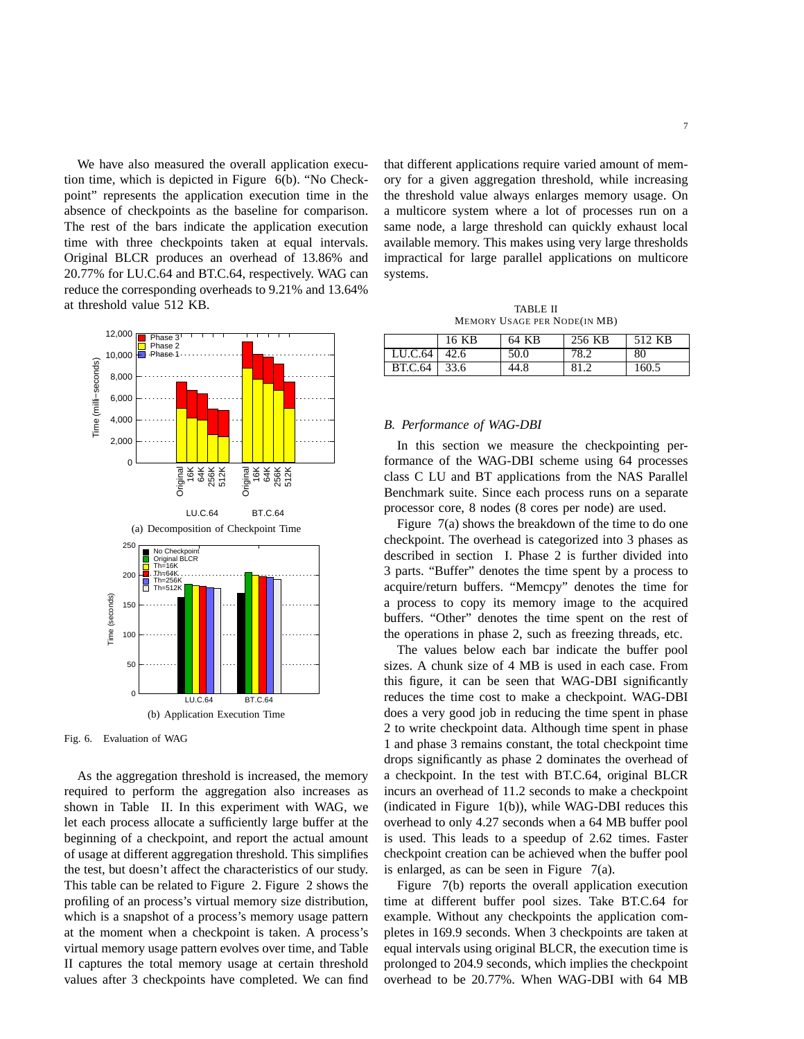We have also measured the overall application execution time, which is depicted in Figure 6(b). "No Checkpoint" represents the application execution time in the absence of checkpoints as the baseline for comparison. The rest of the bars indicate the application execution time with three checkpoints taken at equal intervals. Original BLCR produces an overhead of 13.86% and 20.77% for LU.C.64 and BT.C.64, respectively. WAG can reduce the corresponding overheads to 9.21% and 13.64% at threshold value 512 KB.



Fig. 6. Evaluation of WAG

As the aggregation threshold is increased, the memory required to perform the aggregation also increases as shown in Table II. In this experiment with WAG, we let each process allocate a sufficiently large buffer at the beginning of a checkpoint, and report the actual amount of usage at different aggregation threshold. This simplifies the test, but doesn't affect the characteristics of our study. This table can be related to Figure 2. Figure 2 shows the profiling of an process's virtual memory size distribution, which is a snapshot of a process's memory usage pattern at the moment when a checkpoint is taken. A process's virtual memory usage pattern evolves over time, and Table II captures the total memory usage at certain threshold values after 3 checkpoints have completed. We can find

that different applications require varied amount of memory for a given aggregation threshold, while increasing the threshold value always enlarges memory usage. On a multicore system where a lot of processes run on a same node, a large threshold can quickly exhaust local available memory. This makes using very large thresholds impractical for large parallel applications on multicore systems.

TABLE II MEMORY USAGE PER NODE(IN MB)

|                | 16 KB | 64 KB | 256 KB | 512 KB |
|----------------|-------|-------|--------|--------|
| LU.C.64        | 42.6  | 50.0  | ר סד   | 80     |
| <b>BT.C.64</b> | 33.6  | 44.8  | 81     | 160.5  |

#### *B. Performance of WAG-DBI*

In this section we measure the checkpointing performance of the WAG-DBI scheme using 64 processes class C LU and BT applications from the NAS Parallel Benchmark suite. Since each process runs on a separate processor core, 8 nodes (8 cores per node) are used.

Figure 7(a) shows the breakdown of the time to do one checkpoint. The overhead is categorized into 3 phases as described in section I. Phase 2 is further divided into 3 parts. "Buffer" denotes the time spent by a process to acquire/return buffers. "Memcpy" denotes the time for a process to copy its memory image to the acquired buffers. "Other" denotes the time spent on the rest of the operations in phase 2, such as freezing threads, etc.

The values below each bar indicate the buffer pool sizes. A chunk size of 4 MB is used in each case. From this figure, it can be seen that WAG-DBI significantly reduces the time cost to make a checkpoint. WAG-DBI does a very good job in reducing the time spent in phase 2 to write checkpoint data. Although time spent in phase 1 and phase 3 remains constant, the total checkpoint time drops significantly as phase 2 dominates the overhead of a checkpoint. In the test with BT.C.64, original BLCR incurs an overhead of 11.2 seconds to make a checkpoint (indicated in Figure 1(b)), while WAG-DBI reduces this overhead to only 4.27 seconds when a 64 MB buffer pool is used. This leads to a speedup of 2.62 times. Faster checkpoint creation can be achieved when the buffer pool is enlarged, as can be seen in Figure  $7(a)$ .

Figure 7(b) reports the overall application execution time at different buffer pool sizes. Take BT.C.64 for example. Without any checkpoints the application completes in 169.9 seconds. When 3 checkpoints are taken at equal intervals using original BLCR, the execution time is prolonged to 204.9 seconds, which implies the checkpoint overhead to be 20.77%. When WAG-DBI with 64 MB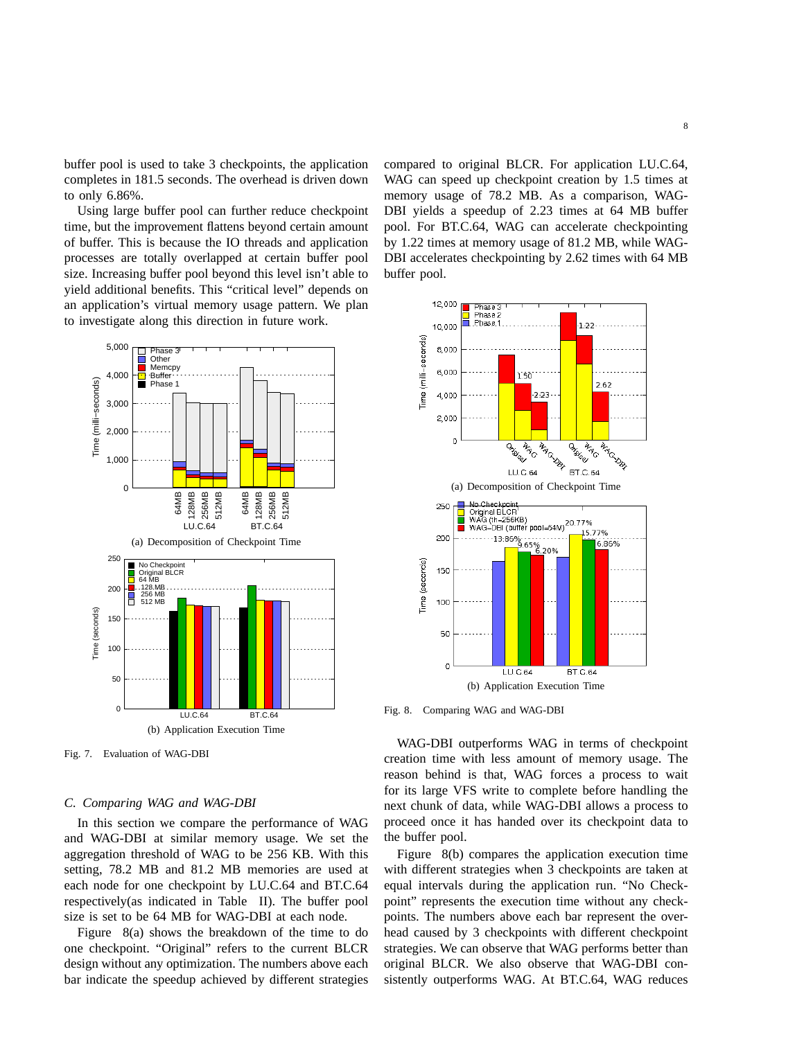buffer pool is used to take 3 checkpoints, the application completes in 181.5 seconds. The overhead is driven down to only 6.86%.

Using large buffer pool can further reduce checkpoint time, but the improvement flattens beyond certain amount of buffer. This is because the IO threads and application processes are totally overlapped at certain buffer pool size. Increasing buffer pool beyond this level isn't able to yield additional benefits. This "critical level" depends on an application's virtual memory usage pattern. We plan to investigate along this direction in future work.



Fig. 7. Evaluation of WAG-DBI

#### *C. Comparing WAG and WAG-DBI*

In this section we compare the performance of WAG and WAG-DBI at similar memory usage. We set the aggregation threshold of WAG to be 256 KB. With this setting, 78.2 MB and 81.2 MB memories are used at each node for one checkpoint by LU.C.64 and BT.C.64 respectively(as indicated in Table II). The buffer pool size is set to be 64 MB for WAG-DBI at each node.

Figure 8(a) shows the breakdown of the time to do one checkpoint. "Original" refers to the current BLCR design without any optimization. The numbers above each bar indicate the speedup achieved by different strategies

compared to original BLCR. For application LU.C.64, WAG can speed up checkpoint creation by 1.5 times at memory usage of 78.2 MB. As a comparison, WAG-DBI yields a speedup of 2.23 times at 64 MB buffer pool. For BT.C.64, WAG can accelerate checkpointing by 1.22 times at memory usage of 81.2 MB, while WAG-DBI accelerates checkpointing by 2.62 times with 64 MB buffer pool.



Fig. 8. Comparing WAG and WAG-DBI

WAG-DBI outperforms WAG in terms of checkpoint creation time with less amount of memory usage. The reason behind is that, WAG forces a process to wait for its large VFS write to complete before handling the next chunk of data, while WAG-DBI allows a process to proceed once it has handed over its checkpoint data to the buffer pool.

Figure 8(b) compares the application execution time with different strategies when 3 checkpoints are taken at equal intervals during the application run. "No Checkpoint" represents the execution time without any checkpoints. The numbers above each bar represent the overhead caused by 3 checkpoints with different checkpoint strategies. We can observe that WAG performs better than original BLCR. We also observe that WAG-DBI consistently outperforms WAG. At BT.C.64, WAG reduces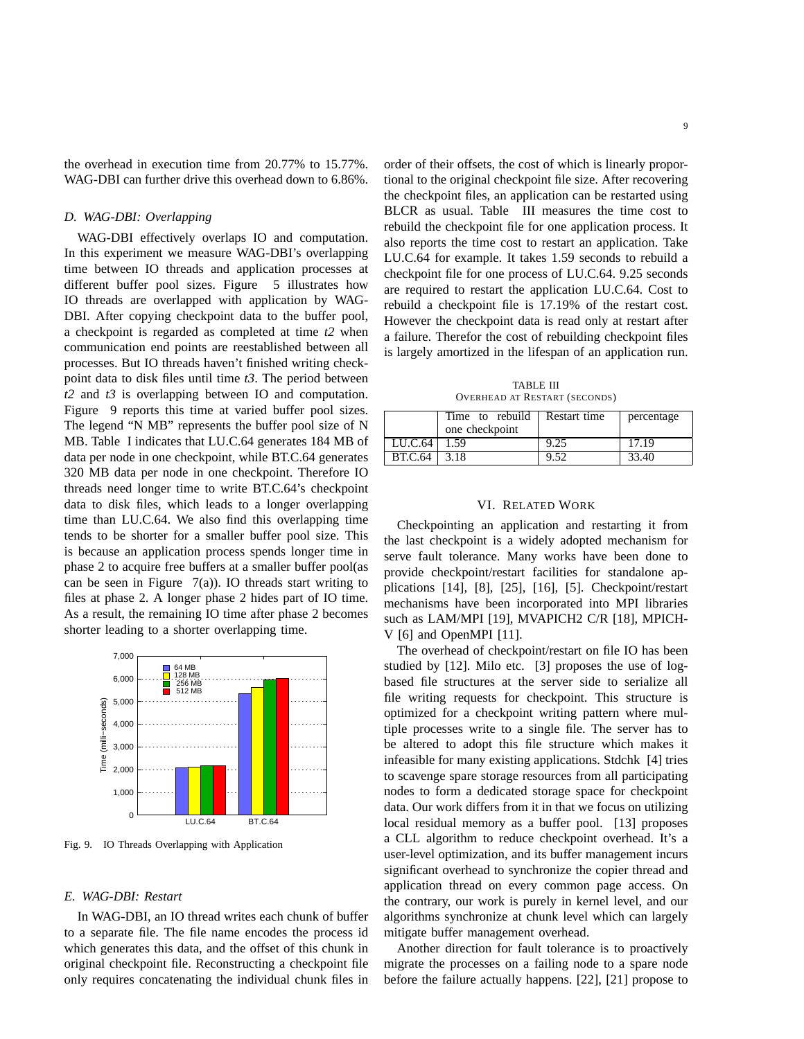the overhead in execution time from 20.77% to 15.77%. WAG-DBI can further drive this overhead down to 6.86%.

# *D. WAG-DBI: Overlapping*

WAG-DBI effectively overlaps IO and computation. In this experiment we measure WAG-DBI's overlapping time between IO threads and application processes at different buffer pool sizes. Figure 5 illustrates how IO threads are overlapped with application by WAG-DBI. After copying checkpoint data to the buffer pool, a checkpoint is regarded as completed at time *t2* when communication end points are reestablished between all processes. But IO threads haven't finished writing checkpoint data to disk files until time *t3*. The period between *t2* and *t3* is overlapping between IO and computation. Figure 9 reports this time at varied buffer pool sizes. The legend "N MB" represents the buffer pool size of N MB. Table I indicates that LU.C.64 generates 184 MB of data per node in one checkpoint, while BT.C.64 generates 320 MB data per node in one checkpoint. Therefore IO threads need longer time to write BT.C.64's checkpoint data to disk files, which leads to a longer overlapping time than LU.C.64. We also find this overlapping time tends to be shorter for a smaller buffer pool size. This is because an application process spends longer time in phase 2 to acquire free buffers at a smaller buffer pool(as can be seen in Figure  $7(a)$ ). IO threads start writing to files at phase 2. A longer phase 2 hides part of IO time. As a result, the remaining IO time after phase 2 becomes shorter leading to a shorter overlapping time.



Fig. 9. IO Threads Overlapping with Application

#### *E. WAG-DBI: Restart*

In WAG-DBI, an IO thread writes each chunk of buffer to a separate file. The file name encodes the process id which generates this data, and the offset of this chunk in original checkpoint file. Reconstructing a checkpoint file only requires concatenating the individual chunk files in

order of their offsets, the cost of which is linearly proportional to the original checkpoint file size. After recovering the checkpoint files, an application can be restarted using BLCR as usual. Table III measures the time cost to rebuild the checkpoint file for one application process. It also reports the time cost to restart an application. Take LU.C.64 for example. It takes 1.59 seconds to rebuild a checkpoint file for one process of LU.C.64. 9.25 seconds are required to restart the application LU.C.64. Cost to rebuild a checkpoint file is 17.19% of the restart cost. However the checkpoint data is read only at restart after a failure. Therefor the cost of rebuilding checkpoint files is largely amortized in the lifespan of an application run.

TABLE III OVERHEAD AT RESTART (SECONDS)

|                | Time to rebuild<br>one checkpoint | Restart time | percentage |
|----------------|-----------------------------------|--------------|------------|
| LU.C.64        | 1.59                              | 9.25         | 17.19      |
| <b>BT.C.64</b> | 3.18                              | 9.52         | 33.40      |

# VI. RELATED WORK

Checkpointing an application and restarting it from the last checkpoint is a widely adopted mechanism for serve fault tolerance. Many works have been done to provide checkpoint/restart facilities for standalone applications [14], [8], [25], [16], [5]. Checkpoint/restart mechanisms have been incorporated into MPI libraries such as LAM/MPI [19], MVAPICH2 C/R [18], MPICH-V [6] and OpenMPI [11].

The overhead of checkpoint/restart on file IO has been studied by [12]. Milo etc. [3] proposes the use of logbased file structures at the server side to serialize all file writing requests for checkpoint. This structure is optimized for a checkpoint writing pattern where multiple processes write to a single file. The server has to be altered to adopt this file structure which makes it infeasible for many existing applications. Stdchk [4] tries to scavenge spare storage resources from all participating nodes to form a dedicated storage space for checkpoint data. Our work differs from it in that we focus on utilizing local residual memory as a buffer pool. [13] proposes a CLL algorithm to reduce checkpoint overhead. It's a user-level optimization, and its buffer management incurs significant overhead to synchronize the copier thread and application thread on every common page access. On the contrary, our work is purely in kernel level, and our algorithms synchronize at chunk level which can largely mitigate buffer management overhead.

Another direction for fault tolerance is to proactively migrate the processes on a failing node to a spare node before the failure actually happens. [22], [21] propose to